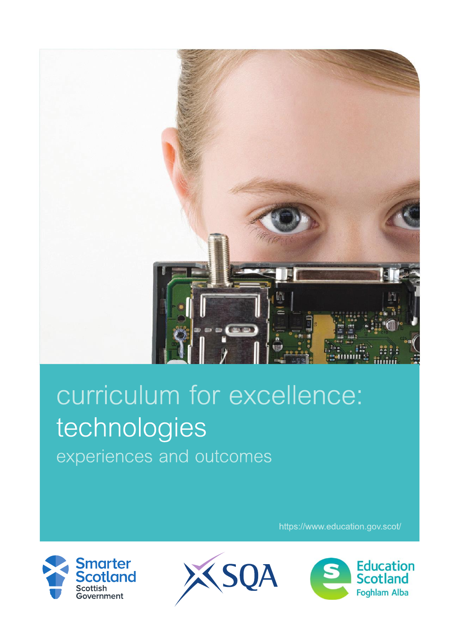

## curriculum for excellence: technologies experiences and outcomes

https://www.education.gov.scot/





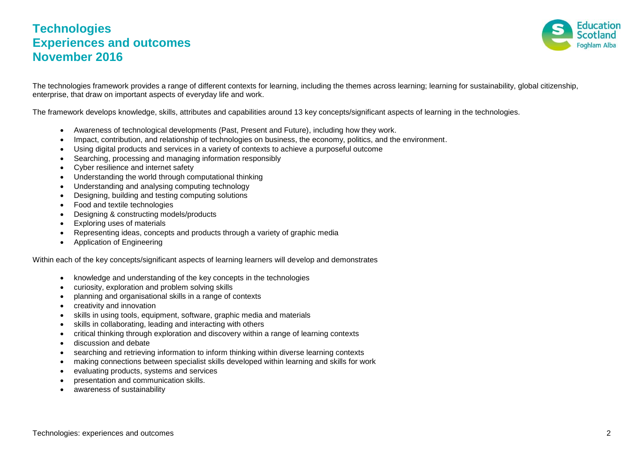## **Technologies Experiences and outcomes November 2016**



The technologies framework provides a range of different contexts for learning, including the themes across learning; learning for sustainability, global citizenship, enterprise, that draw on important aspects of everyday life and work.

The framework develops knowledge, skills, attributes and capabilities around 13 key concepts/significant aspects of learning in the technologies.

- Awareness of technological developments (Past, Present and Future), including how they work.
- Impact, contribution, and relationship of technologies on business, the economy, politics, and the environment.
- Using digital products and services in a variety of contexts to achieve a purposeful outcome
- Searching, processing and managing information responsibly
- Cyber resilience and internet safety
- Understanding the world through computational thinking
- Understanding and analysing computing technology
- Designing, building and testing computing solutions
- Food and textile technologies
- Designing & constructing models/products
- Exploring uses of materials
- Representing ideas, concepts and products through a variety of graphic media
- Application of Engineering

Within each of the key concepts/significant aspects of learning learners will develop and demonstrates

- knowledge and understanding of the key concepts in the technologies
- curiosity, exploration and problem solving skills
- planning and organisational skills in a range of contexts
- creativity and innovation
- skills in using tools, equipment, software, graphic media and materials
- skills in collaborating, leading and interacting with others
- critical thinking through exploration and discovery within a range of learning contexts
- **•** discussion and debate
- searching and retrieving information to inform thinking within diverse learning contexts
- making connections between specialist skills developed within learning and skills for work
- evaluating products, systems and services
- presentation and communication skills.
- awareness of sustainability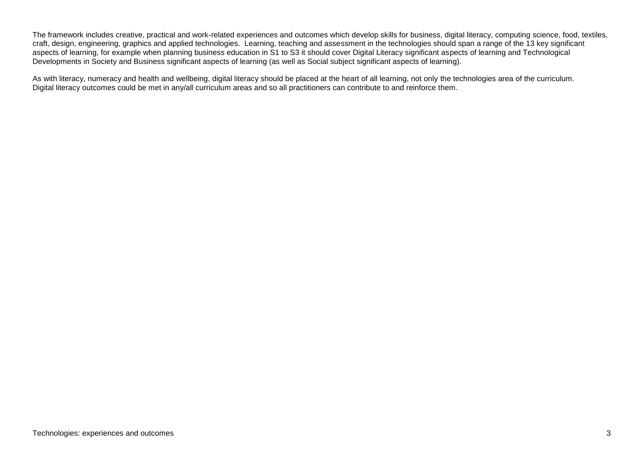The framework includes creative, practical and work-related experiences and outcomes which develop skills for business, digital literacy, computing science, food, textiles, craft, design, engineering, graphics and applied technologies. Learning, teaching and assessment in the technologies should span a range of the 13 key significant aspects of learning, for example when planning business education in S1 to S3 it should cover Digital Literacy significant aspects of learning and Technological Developments in Society and Business significant aspects of learning (as well as Social subject significant aspects of learning).

As with literacy, numeracy and health and wellbeing, digital literacy should be placed at the heart of all learning, not only the technologies area of the curriculum. Digital literacy outcomes could be met in any/all curriculum areas and so all practitioners can contribute to and reinforce them.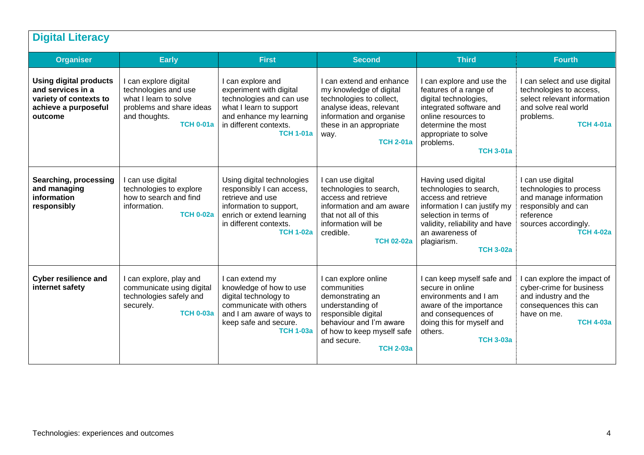| <b>Digital Literacy</b>                                                                                         |                                                                                                                                         |                                                                                                                                                                                   |                                                                                                                                                                                                |                                                                                                                                                                                                                        |                                                                                                                                                        |  |
|-----------------------------------------------------------------------------------------------------------------|-----------------------------------------------------------------------------------------------------------------------------------------|-----------------------------------------------------------------------------------------------------------------------------------------------------------------------------------|------------------------------------------------------------------------------------------------------------------------------------------------------------------------------------------------|------------------------------------------------------------------------------------------------------------------------------------------------------------------------------------------------------------------------|--------------------------------------------------------------------------------------------------------------------------------------------------------|--|
| <b>Organiser</b>                                                                                                | <b>Early</b>                                                                                                                            | <b>First</b>                                                                                                                                                                      | <b>Second</b>                                                                                                                                                                                  | <b>Third</b>                                                                                                                                                                                                           | <b>Fourth</b>                                                                                                                                          |  |
| <b>Using digital products</b><br>and services in a<br>variety of contexts to<br>achieve a purposeful<br>outcome | I can explore digital<br>technologies and use<br>what I learn to solve<br>problems and share ideas<br>and thoughts.<br><b>TCH 0-01a</b> | I can explore and<br>experiment with digital<br>technologies and can use<br>what I learn to support<br>and enhance my learning<br>in different contexts.<br><b>TCH 1-01a</b>      | I can extend and enhance<br>my knowledge of digital<br>technologies to collect,<br>analyse ideas, relevant<br>information and organise<br>these in an appropriate<br>way.<br><b>TCH 2-01a</b>  | I can explore and use the<br>features of a range of<br>digital technologies,<br>integrated software and<br>online resources to<br>determine the most<br>appropriate to solve<br>problems.<br><b>TCH 3-01a</b>          | I can select and use digital<br>technologies to access,<br>select relevant information<br>and solve real world<br>problems.<br><b>TCH 4-01a</b>        |  |
| Searching, processing<br>and managing<br>information<br>responsibly                                             | I can use digital<br>technologies to explore<br>how to search and find<br>information.<br><b>TCH 0-02a</b>                              | Using digital technologies<br>responsibly I can access,<br>retrieve and use<br>information to support,<br>enrich or extend learning<br>in different contexts.<br><b>TCH 1-02a</b> | I can use digital<br>technologies to search,<br>access and retrieve<br>information and am aware<br>that not all of this<br>information will be<br>credible.<br><b>TCH 02-02a</b>               | Having used digital<br>technologies to search,<br>access and retrieve<br>information I can justify my<br>selection in terms of<br>validity, reliability and have<br>an awareness of<br>plagiarism.<br><b>TCH 3-02a</b> | I can use digital<br>technologies to process<br>and manage information<br>responsibly and can<br>reference<br>sources accordingly.<br><b>TCH 4-02a</b> |  |
| <b>Cyber resilience and</b><br>internet safety                                                                  | I can explore, play and<br>communicate using digital<br>technologies safely and<br>securely.<br><b>TCH 0-03a</b>                        | I can extend my<br>knowledge of how to use<br>digital technology to<br>communicate with others<br>and I am aware of ways to<br>keep safe and secure.<br><b>TCH 1-03a</b>          | I can explore online<br>communities<br>demonstrating an<br>understanding of<br>responsible digital<br>behaviour and I'm aware<br>of how to keep myself safe<br>and secure.<br><b>TCH 2-03a</b> | I can keep myself safe and<br>secure in online<br>environments and I am<br>aware of the importance<br>and consequences of<br>doing this for myself and<br>others.<br><b>TCH 3-03a</b>                                  | I can explore the impact of<br>cyber-crime for business<br>and industry and the<br>consequences this can<br>have on me.<br><b>TCH 4-03a</b>            |  |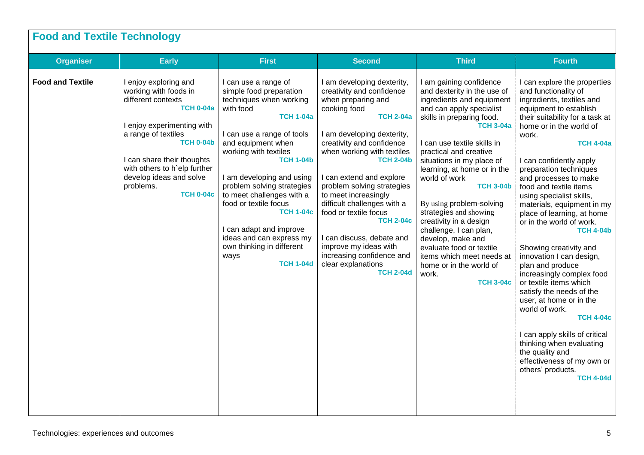| <b>Food and Textile Technology</b> |                                                                                                                                                                                                                                                                                             |                                                                                                                                                                                                                                                                                                                                                                                                                                                                   |                                                                                                                                                                                                                                                                                                                                                                                                                                                                                                                           |                                                                                                                                                                                                                                                                                                                                                                                                                                                                                                                                                                            |                                                                                                                                                                                                                                                                                                                                                                                                                                                                                                                                                                                                                                                                                                                                                                                                                                              |  |  |
|------------------------------------|---------------------------------------------------------------------------------------------------------------------------------------------------------------------------------------------------------------------------------------------------------------------------------------------|-------------------------------------------------------------------------------------------------------------------------------------------------------------------------------------------------------------------------------------------------------------------------------------------------------------------------------------------------------------------------------------------------------------------------------------------------------------------|---------------------------------------------------------------------------------------------------------------------------------------------------------------------------------------------------------------------------------------------------------------------------------------------------------------------------------------------------------------------------------------------------------------------------------------------------------------------------------------------------------------------------|----------------------------------------------------------------------------------------------------------------------------------------------------------------------------------------------------------------------------------------------------------------------------------------------------------------------------------------------------------------------------------------------------------------------------------------------------------------------------------------------------------------------------------------------------------------------------|----------------------------------------------------------------------------------------------------------------------------------------------------------------------------------------------------------------------------------------------------------------------------------------------------------------------------------------------------------------------------------------------------------------------------------------------------------------------------------------------------------------------------------------------------------------------------------------------------------------------------------------------------------------------------------------------------------------------------------------------------------------------------------------------------------------------------------------------|--|--|
| <b>Organiser</b>                   | <b>Early</b>                                                                                                                                                                                                                                                                                | <b>First</b>                                                                                                                                                                                                                                                                                                                                                                                                                                                      | <b>Second</b>                                                                                                                                                                                                                                                                                                                                                                                                                                                                                                             | <b>Third</b>                                                                                                                                                                                                                                                                                                                                                                                                                                                                                                                                                               | <b>Fourth</b>                                                                                                                                                                                                                                                                                                                                                                                                                                                                                                                                                                                                                                                                                                                                                                                                                                |  |  |
| <b>Food and Textile</b>            | I enjoy exploring and<br>working with foods in<br>different contexts<br><b>TCH 0-04a</b><br>I enjoy experimenting with<br>a range of textiles<br><b>TCH 0-04b</b><br>I can share their thoughts<br>with others to h`elp further<br>develop ideas and solve<br>problems.<br><b>TCH 0-04c</b> | I can use a range of<br>simple food preparation<br>techniques when working<br>with food<br><b>TCH 1-04a</b><br>I can use a range of tools<br>and equipment when<br>working with textiles<br><b>TCH 1-04b</b><br>I am developing and using<br>problem solving strategies<br>to meet challenges with a<br>food or textile focus<br><b>TCH 1-04c</b><br>I can adapt and improve<br>ideas and can express my<br>own thinking in different<br>ways<br><b>TCH 1-04d</b> | I am developing dexterity,<br>creativity and confidence<br>when preparing and<br>cooking food<br><b>TCH 2-04a</b><br>I am developing dexterity,<br>creativity and confidence<br>when working with textiles<br><b>TCH 2-04b</b><br>I can extend and explore<br>problem solving strategies<br>to meet increasingly<br>difficult challenges with a<br>food or textile focus<br><b>TCH 2-04c</b><br>I can discuss, debate and<br>improve my ideas with<br>increasing confidence and<br>clear explanations<br><b>TCH 2-04d</b> | I am gaining confidence<br>and dexterity in the use of<br>ingredients and equipment<br>and can apply specialist<br>skills in preparing food.<br><b>TCH 3-04a</b><br>I can use textile skills in<br>practical and creative<br>situations in my place of<br>learning, at home or in the<br>world of work<br><b>TCH 3-04b</b><br>By using problem-solving<br>strategies and showing<br>creativity in a design<br>challenge, I can plan,<br>develop, make and<br>evaluate food or textile<br>items which meet needs at<br>home or in the world of<br>work.<br><b>TCH 3-04c</b> | I can explore the properties<br>and functionality of<br>ingredients, textiles and<br>equipment to establish<br>their suitability for a task at<br>home or in the world of<br>work.<br><b>TCH 4-04a</b><br>I can confidently apply<br>preparation techniques<br>and processes to make<br>food and textile items<br>using specialist skills,<br>materials, equipment in my<br>place of learning, at home<br>or in the world of work.<br><b>TCH 4-04b</b><br>Showing creativity and<br>innovation I can design,<br>plan and produce<br>increasingly complex food<br>or textile items which<br>satisfy the needs of the<br>user, at home or in the<br>world of work.<br><b>TCH 4-04c</b><br>I can apply skills of critical<br>thinking when evaluating<br>the quality and<br>effectiveness of my own or<br>others' products.<br><b>TCH 4-04d</b> |  |  |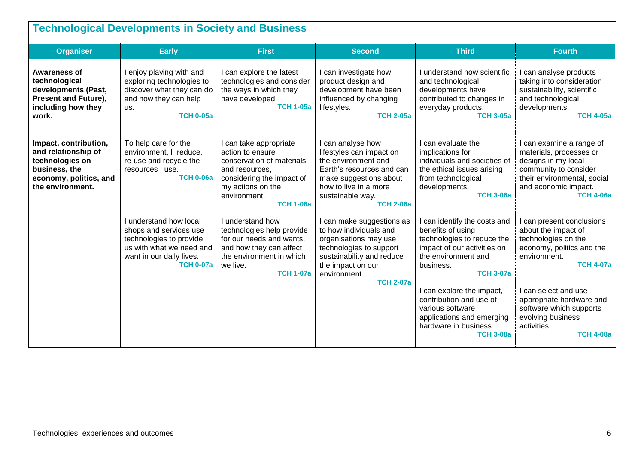| <b>Technological Developments in Society and Business</b>                                                                      |                                                                                                                                                         |                                                                                                                                                                                 |                                                                                                                                                                                               |                                                                                                                                                                                                   |                                                                                                                                                                                |  |
|--------------------------------------------------------------------------------------------------------------------------------|---------------------------------------------------------------------------------------------------------------------------------------------------------|---------------------------------------------------------------------------------------------------------------------------------------------------------------------------------|-----------------------------------------------------------------------------------------------------------------------------------------------------------------------------------------------|---------------------------------------------------------------------------------------------------------------------------------------------------------------------------------------------------|--------------------------------------------------------------------------------------------------------------------------------------------------------------------------------|--|
| <b>Organiser</b>                                                                                                               | <b>Early</b>                                                                                                                                            | <b>First</b>                                                                                                                                                                    | <b>Second</b>                                                                                                                                                                                 | <b>Third</b>                                                                                                                                                                                      | <b>Fourth</b>                                                                                                                                                                  |  |
| Awareness of<br>technological<br>developments (Past,<br><b>Present and Future),</b><br>including how they<br>work.             | I enjoy playing with and<br>exploring technologies to<br>discover what they can do<br>and how they can help<br>us.<br><b>TCH 0-05a</b>                  | I can explore the latest<br>technologies and consider<br>the ways in which they<br>have developed.<br><b>TCH 1-05a</b>                                                          | I can investigate how<br>product design and<br>development have been<br>influenced by changing<br>lifestyles.<br><b>TCH 2-05a</b>                                                             | I understand how scientific<br>and technological<br>developments have<br>contributed to changes in<br>everyday products.<br><b>TCH 3-05a</b>                                                      | I can analyse products<br>taking into consideration<br>sustainability, scientific<br>and technological<br>developments.<br><b>TCH 4-05a</b>                                    |  |
| Impact, contribution,<br>and relationship of<br>technologies on<br>business, the<br>economy, politics, and<br>the environment. | To help care for the<br>environment, I reduce,<br>re-use and recycle the<br>resources I use.<br><b>TCH 0-06a</b>                                        | I can take appropriate<br>action to ensure<br>conservation of materials<br>and resources,<br>considering the impact of<br>my actions on the<br>environment.<br><b>TCH 1-06a</b> | I can analyse how<br>lifestyles can impact on<br>the environment and<br>Earth's resources and can<br>make suggestions about<br>how to live in a more<br>sustainable way.<br><b>TCH 2-06a</b>  | I can evaluate the<br>implications for<br>individuals and societies of<br>the ethical issues arising<br>from technological<br>developments.<br><b>TCH 3-06a</b>                                   | I can examine a range of<br>materials, processes or<br>designs in my local<br>community to consider<br>their environmental, social<br>and economic impact.<br><b>TCH 4-06a</b> |  |
|                                                                                                                                | I understand how local<br>shops and services use<br>technologies to provide<br>us with what we need and<br>want in our daily lives.<br><b>TCH 0-07a</b> | I understand how<br>technologies help provide<br>for our needs and wants,<br>and how they can affect<br>the environment in which<br>we live.<br><b>TCH 1-07a</b>                | I can make suggestions as<br>to how individuals and<br>organisations may use<br>technologies to support<br>sustainability and reduce<br>the impact on our<br>environment.<br><b>TCH 2-07a</b> | can identify the costs and<br>benefits of using<br>technologies to reduce the<br>impact of our activities on<br>the environment and<br>business.<br><b>TCH 3-07a</b><br>I can explore the impact, | I can present conclusions<br>about the impact of<br>technologies on the<br>economy, politics and the<br>environment.<br><b>TCH 4-07a</b><br>I can select and use               |  |
|                                                                                                                                |                                                                                                                                                         |                                                                                                                                                                                 |                                                                                                                                                                                               | contribution and use of<br>various software<br>applications and emerging<br>hardware in business.<br><b>TCH 3-08a</b>                                                                             | appropriate hardware and<br>software which supports<br>evolving business<br>activities.<br><b>TCH 4-08a</b>                                                                    |  |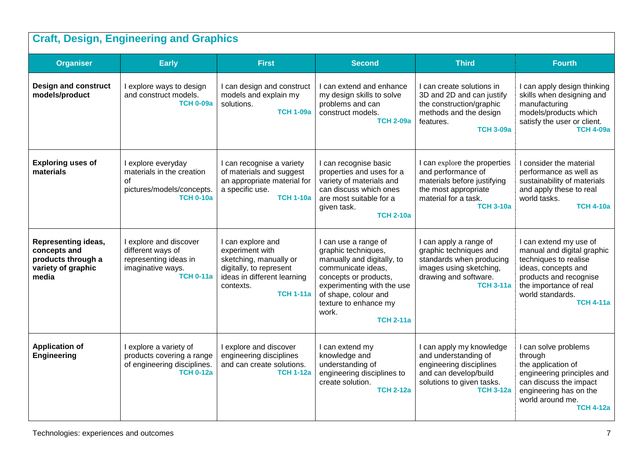| <b>Craft, Design, Engineering and Graphics</b>                                                  |                                                                                                               |                                                                                                                                                           |                                                                                                                                                                                                                                      |                                                                                                                                                       |                                                                                                                                                                                                  |  |
|-------------------------------------------------------------------------------------------------|---------------------------------------------------------------------------------------------------------------|-----------------------------------------------------------------------------------------------------------------------------------------------------------|--------------------------------------------------------------------------------------------------------------------------------------------------------------------------------------------------------------------------------------|-------------------------------------------------------------------------------------------------------------------------------------------------------|--------------------------------------------------------------------------------------------------------------------------------------------------------------------------------------------------|--|
| <b>Organiser</b>                                                                                | <b>Early</b>                                                                                                  | <b>First</b>                                                                                                                                              | <b>Second</b>                                                                                                                                                                                                                        | <b>Third</b>                                                                                                                                          | <b>Fourth</b>                                                                                                                                                                                    |  |
| <b>Design and construct</b><br>models/product                                                   | I explore ways to design<br>and construct models.<br><b>TCH 0-09a</b>                                         | I can design and construct<br>models and explain my<br>solutions.<br><b>TCH 1-09a</b>                                                                     | I can extend and enhance<br>my design skills to solve<br>problems and can<br>construct models.<br><b>TCH 2-09a</b>                                                                                                                   | I can create solutions in<br>3D and 2D and can justify<br>the construction/graphic<br>methods and the design<br>features.<br><b>TCH 3-09a</b>         | I can apply design thinking<br>skills when designing and<br>manufacturing<br>models/products which<br>satisfy the user or client.<br><b>TCH 4-09a</b>                                            |  |
| <b>Exploring uses of</b><br>materials                                                           | I explore everyday<br>materials in the creation<br>$\Omega$<br>pictures/models/concepts.<br><b>TCH 0-10a</b>  | I can recognise a variety<br>of materials and suggest<br>an appropriate material for<br>a specific use.<br><b>TCH 1-10a</b>                               | I can recognise basic<br>properties and uses for a<br>variety of materials and<br>can discuss which ones<br>are most suitable for a<br>given task.<br><b>TCH 2-10a</b>                                                               | I can explore the properties<br>and performance of<br>materials before justifying<br>the most appropriate<br>material for a task.<br><b>TCH 3-10a</b> | I consider the material<br>performance as well as<br>sustainability of materials<br>and apply these to real<br>world tasks.<br><b>TCH 4-10a</b>                                                  |  |
| <b>Representing ideas,</b><br>concepts and<br>products through a<br>variety of graphic<br>media | I explore and discover<br>different ways of<br>representing ideas in<br>imaginative ways.<br><b>TCH 0-11a</b> | I can explore and<br>experiment with<br>sketching, manually or<br>digitally, to represent<br>ideas in different learning<br>contexts.<br><b>TCH 1-11a</b> | I can use a range of<br>graphic techniques,<br>manually and digitally, to<br>communicate ideas,<br>concepts or products,<br>experimenting with the use<br>of shape, colour and<br>texture to enhance my<br>work.<br><b>TCH 2-11a</b> | I can apply a range of<br>graphic techniques and<br>standards when producing<br>images using sketching,<br>drawing and software.<br><b>TCH 3-11a</b>  | I can extend my use of<br>manual and digital graphic<br>techniques to realise<br>ideas, concepts and<br>products and recognise<br>the importance of real<br>world standards.<br><b>TCH 4-11a</b> |  |
| <b>Application of</b><br><b>Engineering</b>                                                     | I explore a variety of<br>products covering a range<br>of engineering disciplines.<br><b>TCH 0-12a</b>        | I explore and discover<br>engineering disciplines<br>and can create solutions.<br><b>TCH 1-12a</b>                                                        | I can extend my<br>knowledge and<br>understanding of<br>engineering disciplines to<br>create solution.<br><b>TCH 2-12a</b>                                                                                                           | I can apply my knowledge<br>and understanding of<br>engineering disciplines<br>and can develop/build<br>solutions to given tasks.<br><b>TCH 3-12a</b> | I can solve problems<br>through<br>the application of<br>engineering principles and<br>can discuss the impact<br>engineering has on the<br>world around me.<br><b>TCH 4-12a</b>                  |  |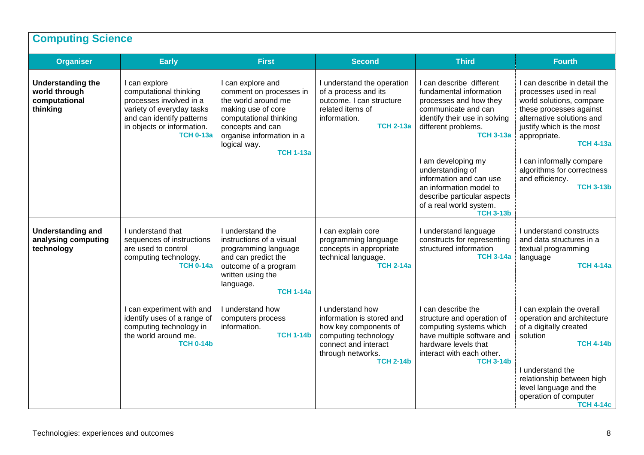| <b>Organiser</b>                                                       | <b>Early</b>                                                                                                                                                                   | <b>First</b>                                                                                                                                                                                             | <b>Second</b>                                                                                                                                                   | <b>Third</b>                                                                                                                                                                                                                                                                                                                                                   | <b>Fourth</b>                                                                                                                                                                                                                                                                                                |
|------------------------------------------------------------------------|--------------------------------------------------------------------------------------------------------------------------------------------------------------------------------|----------------------------------------------------------------------------------------------------------------------------------------------------------------------------------------------------------|-----------------------------------------------------------------------------------------------------------------------------------------------------------------|----------------------------------------------------------------------------------------------------------------------------------------------------------------------------------------------------------------------------------------------------------------------------------------------------------------------------------------------------------------|--------------------------------------------------------------------------------------------------------------------------------------------------------------------------------------------------------------------------------------------------------------------------------------------------------------|
| <b>Understanding the</b><br>world through<br>computational<br>thinking | I can explore<br>computational thinking<br>processes involved in a<br>variety of everyday tasks<br>and can identify patterns<br>in objects or information.<br><b>TCH 0-13a</b> | I can explore and<br>comment on processes in<br>the world around me<br>making use of core<br>computational thinking<br>concepts and can<br>organise information in a<br>logical way.<br><b>TCH 1-13a</b> | I understand the operation<br>of a process and its<br>outcome. I can structure<br>related items of<br>information.<br><b>TCH 2-13a</b>                          | I can describe different<br>fundamental information<br>processes and how they<br>communicate and can<br>identify their use in solving<br>different problems.<br><b>TCH 3-13a</b><br>I am developing my<br>understanding of<br>information and can use<br>an information model to<br>describe particular aspects<br>of a real world system.<br><b>TCH 3-13b</b> | I can describe in detail the<br>processes used in real<br>world solutions, compare<br>these processes against<br>alternative solutions and<br>justify which is the most<br>appropriate.<br><b>TCH 4-13a</b><br>I can informally compare<br>algorithms for correctness<br>and efficiency.<br><b>TCH 3-13b</b> |
| <b>Understanding and</b><br>analysing computing<br>technology          | understand that<br>sequences of instructions<br>are used to control<br>computing technology.<br><b>TCH 0-14a</b>                                                               | I understand the<br>instructions of a visual<br>programming language<br>and can predict the<br>outcome of a program<br>written using the<br>language.<br><b>TCH 1-14a</b>                                | I can explain core<br>programming language<br>concepts in appropriate<br>technical language.<br><b>TCH 2-14a</b>                                                | I understand language<br>constructs for representing<br>structured information<br><b>TCH 3-14a</b>                                                                                                                                                                                                                                                             | I understand constructs<br>and data structures in a<br>textual programming<br>language<br><b>TCH 4-14a</b>                                                                                                                                                                                                   |
|                                                                        | can experiment with and<br>identify uses of a range of<br>computing technology in<br>the world around me.<br><b>TCH 0-14b</b>                                                  | I understand how<br>computers process<br>information.<br><b>TCH 1-14b</b>                                                                                                                                | I understand how<br>information is stored and<br>how key components of<br>computing technology<br>connect and interact<br>through networks.<br><b>TCH 2-14b</b> | I can describe the<br>structure and operation of<br>computing systems which<br>have multiple software and<br>hardware levels that<br>interact with each other.<br><b>TCH 3-14b</b>                                                                                                                                                                             | I can explain the overall<br>operation and architecture<br>of a digitally created<br>solution<br><b>TCH 4-14b</b><br>I understand the<br>relationship between high<br>level language and the<br>operation of computer<br><b>TCH 4-14c</b>                                                                    |